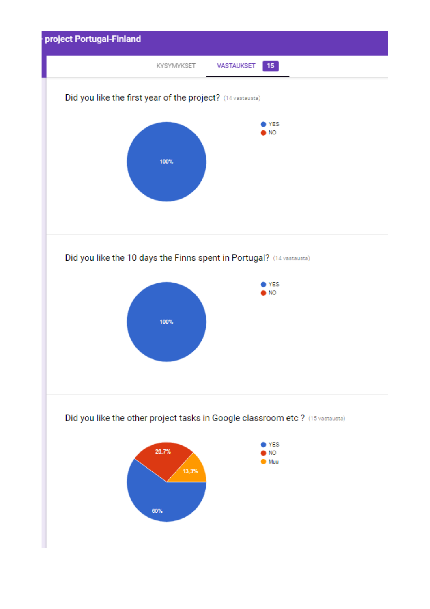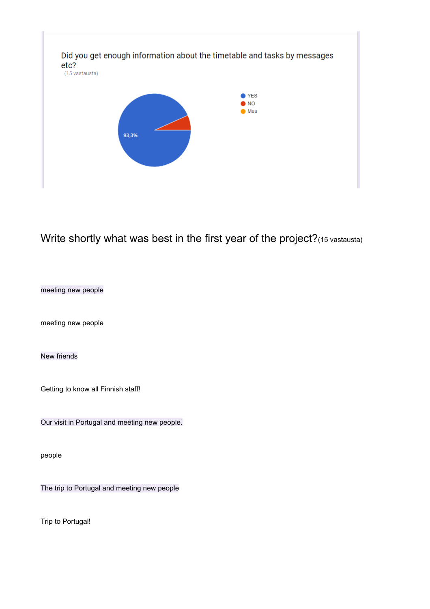

## Write shortly what was best in the first year of the project?(15 vastausta)

meeting new people

meeting new people

New friends

Getting to know all Finnish staff!

Our visit in Portugal and meeting new people.

people

The trip to Portugal and meeting new people

Trip to Portugal!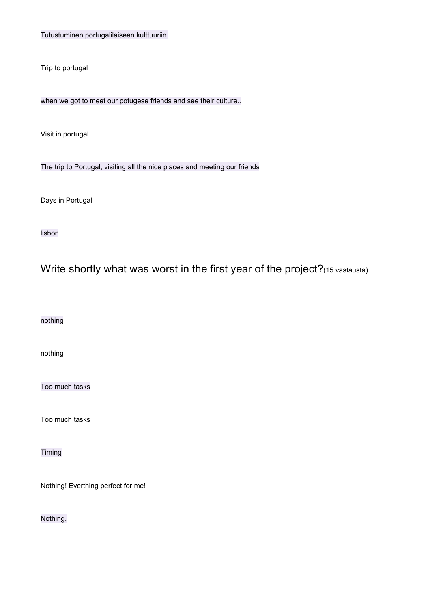Tutustuminen portugalilaiseen kulttuuriin.

Trip to portugal

when we got to meet our potugese friends and see their culture..

Visit in portugal

The trip to Portugal, visiting all the nice places and meeting our friends

Days in Portugal

lisbon

Write shortly what was worst in the first year of the project?(15 vastausta)

nothing

nothing

Too much tasks

Too much tasks

Timing

Nothing! Everthing perfect for me!

Nothing.